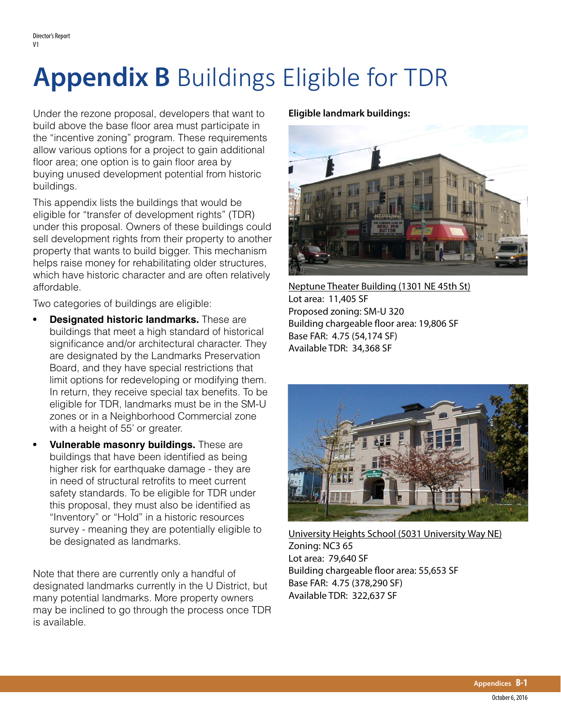## **Appendix B** Buildings Eligible for TDR

Under the rezone proposal, developers that want to build above the base floor area must participate in the "incentive zoning" program. These requirements allow various options for a project to gain additional floor area; one option is to gain floor area by buying unused development potential from historic buildings.

This appendix lists the buildings that would be eligible for "transfer of development rights" (TDR) under this proposal. Owners of these buildings could sell development rights from their property to another property that wants to build bigger. This mechanism helps raise money for rehabilitating older structures, which have historic character and are often relatively affordable.

Two categories of buildings are eligible:

- **• Designated historic landmarks.** These are buildings that meet a high standard of historical significance and/or architectural character. They are designated by the Landmarks Preservation Board, and they have special restrictions that limit options for redeveloping or modifying them. In return, they receive special tax benefits. To be eligible for TDR, landmarks must be in the SM-U zones or in a Neighborhood Commercial zone with a height of 55' or greater.
- **• Vulnerable masonry buildings.** These are buildings that have been identified as being higher risk for earthquake damage - they are in need of structural retrofits to meet current safety standards. To be eligible for TDR under this proposal, they must also be identified as "Inventory" or "Hold" in a historic resources survey - meaning they are potentially eligible to be designated as landmarks.

Note that there are currently only a handful of designated landmarks currently in the U District, but many potential landmarks. More property owners may be inclined to go through the process once TDR is available.

## **Eligible landmark buildings:**



Neptune Theater Building (1301 NE 45th St) Lot area: 11,405 SF Proposed zoning: SM-U 320 Building chargeable floor area: 19,806 SF Base FAR: 4.75 (54,174 SF) Available TDR: 34,368 SF



University Heights School (5031 University Way NE) Zoning: NC3 65 Lot area: 79,640 SF Building chargeable floor area: 55,653 SF Base FAR: 4.75 (378,290 SF) Available TDR: 322,637 SF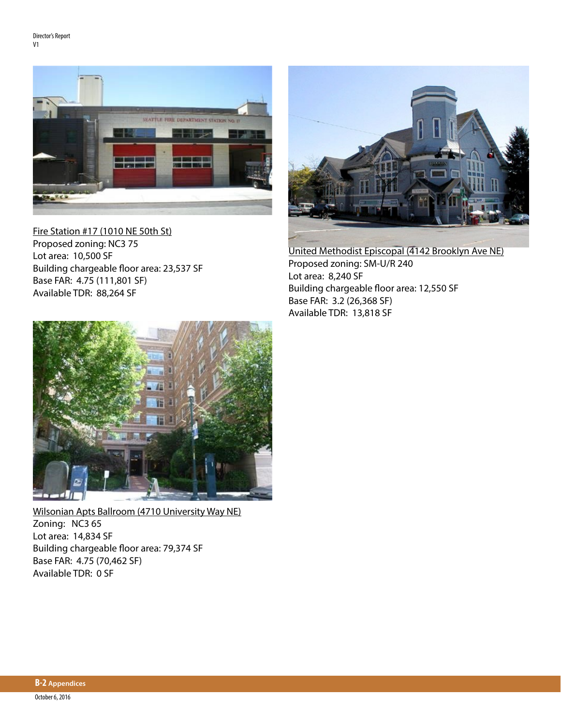

Fire Station #17 (1010 NE 50th St) Proposed zoning: NC3 75 Lot area: 10,500 SF Building chargeable floor area: 23,537 SF Base FAR: 4.75 (111,801 SF) Available TDR: 88,264 SF



United Methodist Episcopal (4142 Brooklyn Ave NE) Proposed zoning: SM-U/R 240 Lot area: 8,240 SF Building chargeable floor area: 12,550 SF Base FAR: 3.2 (26,368 SF) Available TDR: 13,818 SF



Wilsonian Apts Ballroom (4710 University Way NE) Zoning: NC3 65 Lot area: 14,834 SF Building chargeable floor area: 79,374 SF Base FAR: 4.75 (70,462 SF) Available TDR: 0 SF

**B-2 Appendices**  October 6, 2016